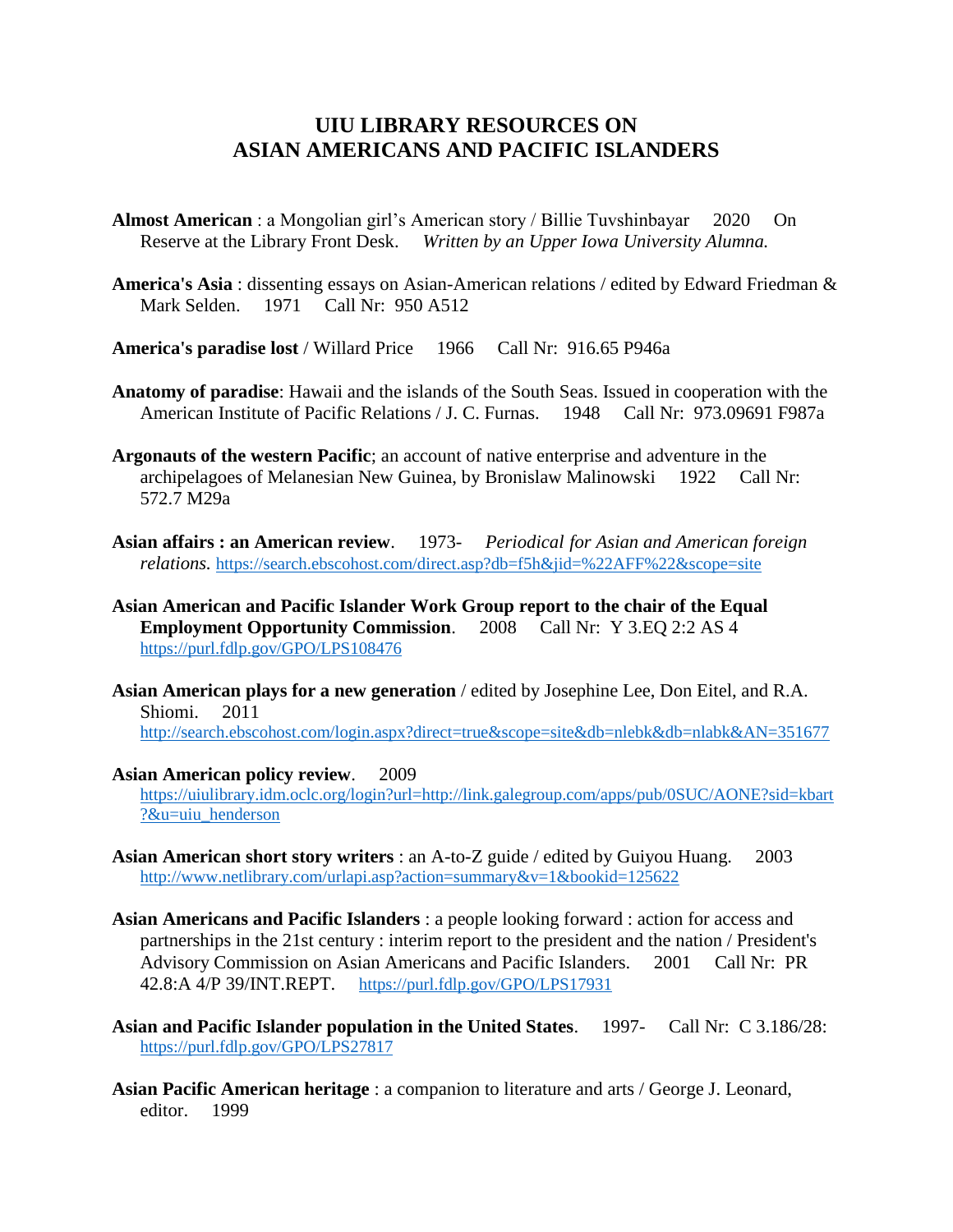# **UIU LIBRARY RESOURCES ON ASIAN AMERICANS AND PACIFIC ISLANDERS**

**Almost American** : a Mongolian girl's American story / Billie Tuvshinbayar 2020 On Reserve at the Library Front Desk. *Written by an Upper Iowa University Alumna.*

**America's Asia** : dissenting essays on Asian-American relations / edited by Edward Friedman & Mark Selden. 1971 Call Nr: 950 A512

**America's paradise lost** / Willard Price 1966 Call Nr: 916.65 P946a

- **Anatomy of paradise**: Hawaii and the islands of the South Seas. Issued in cooperation with the American Institute of Pacific Relations / J. C. Furnas. 1948 Call Nr: 973.09691 F987a
- **Argonauts of the western Pacific**; an account of native enterprise and adventure in the archipelagoes of Melanesian New Guinea, by Bronislaw Malinowski 1922 Call Nr: 572.7 M29a
- **Asian affairs : an American review**. 1973- *Periodical for Asian and American foreign relations.* <https://search.ebscohost.com/direct.asp?db=f5h&jid=%22AFF%22&scope=site>
- **Asian American and Pacific Islander Work Group report to the chair of the Equal Employment Opportunity Commission**. 2008 Call Nr: Y 3.EQ 2:2 AS 4 <https://purl.fdlp.gov/GPO/LPS108476>
- **Asian American plays for a new generation** / edited by Josephine Lee, Don Eitel, and R.A. Shiomi. 2011

<http://search.ebscohost.com/login.aspx?direct=true&scope=site&db=nlebk&db=nlabk&AN=351677>

#### **Asian American policy review**. 2009

[https://uiulibrary.idm.oclc.org/login?url=http://link.galegroup.com/apps/pub/0SUC/AONE?sid=kbart](https://uiulibrary.idm.oclc.org/login?url=http://link.galegroup.com/apps/pub/0SUC/AONE?sid=kbart?&u=uiu_henderson) [?&u=uiu\\_henderson](https://uiulibrary.idm.oclc.org/login?url=http://link.galegroup.com/apps/pub/0SUC/AONE?sid=kbart?&u=uiu_henderson)

- **Asian American short story writers** : an A-to-Z guide / edited by Guiyou Huang. 2003 <http://www.netlibrary.com/urlapi.asp?action=summary&v=1&bookid=125622>
- **Asian Americans and Pacific Islanders** : a people looking forward : action for access and partnerships in the 21st century : interim report to the president and the nation / President's Advisory Commission on Asian Americans and Pacific Islanders. 2001 Call Nr: PR 42.8:A 4/P 39/INT.REPT. <https://purl.fdlp.gov/GPO/LPS17931>
- **Asian and Pacific Islander population in the United States**. 1997- Call Nr: C 3.186/28: <https://purl.fdlp.gov/GPO/LPS27817>
- **Asian Pacific American heritage** : a companion to literature and arts / George J. Leonard, editor. 1999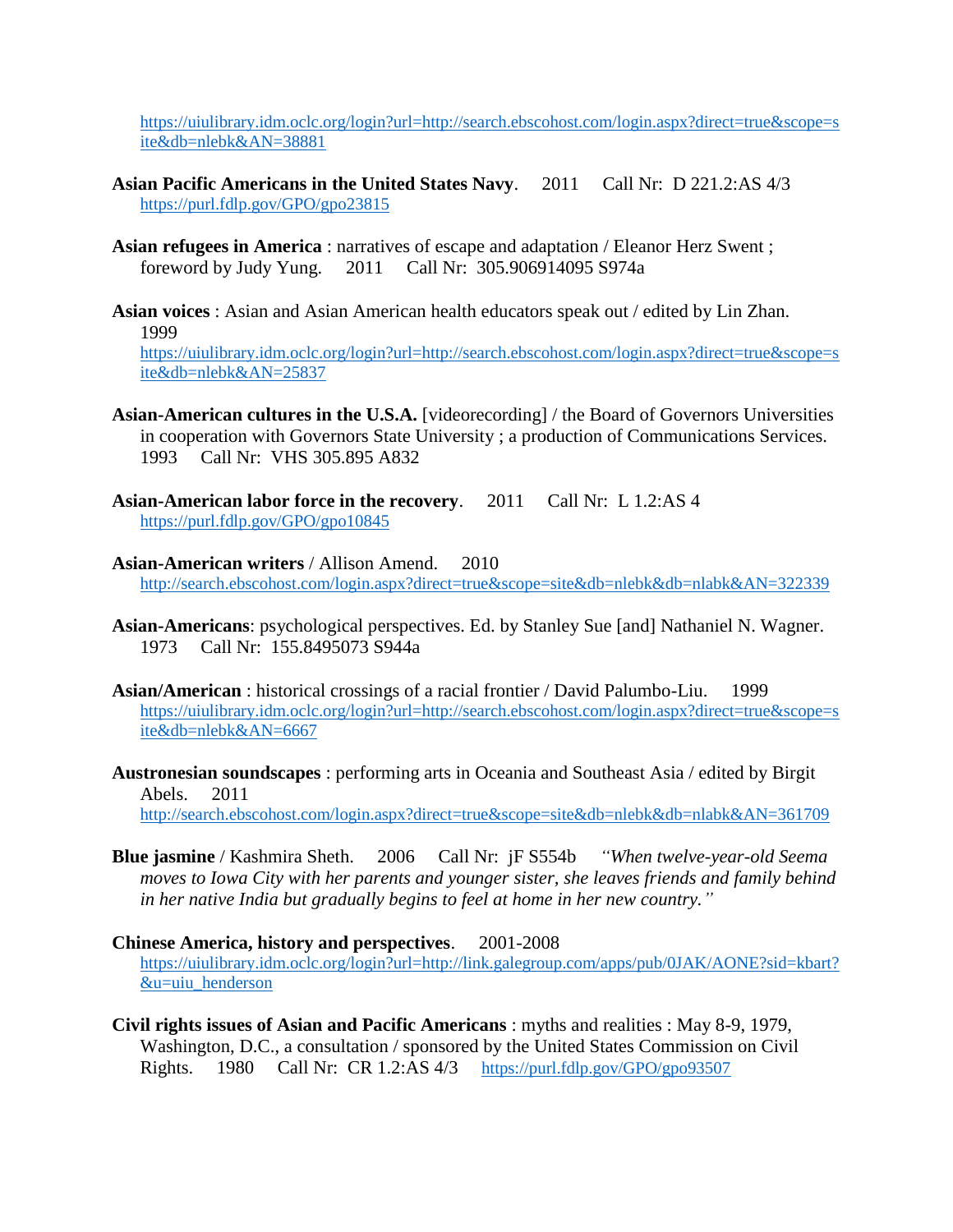[https://uiulibrary.idm.oclc.org/login?url=http://search.ebscohost.com/login.aspx?direct=true&scope=s](https://uiulibrary.idm.oclc.org/login?url=http://search.ebscohost.com/login.aspx?direct=true&scope=site&db=nlebk&AN=38881) [ite&db=nlebk&AN=38881](https://uiulibrary.idm.oclc.org/login?url=http://search.ebscohost.com/login.aspx?direct=true&scope=site&db=nlebk&AN=38881)

- **Asian Pacific Americans in the United States Navy**. 2011 Call Nr: D 221.2:AS 4/3 <https://purl.fdlp.gov/GPO/gpo23815>
- **Asian refugees in America** : narratives of escape and adaptation / Eleanor Herz Swent ; foreword by Judy Yung. 2011 Call Nr: 305.906914095 S974a
- **Asian voices** : Asian and Asian American health educators speak out / edited by Lin Zhan. 1999 [https://uiulibrary.idm.oclc.org/login?url=http://search.ebscohost.com/login.aspx?direct=true&scope=s](https://uiulibrary.idm.oclc.org/login?url=http://search.ebscohost.com/login.aspx?direct=true&scope=site&db=nlebk&AN=25837) [ite&db=nlebk&AN=25837](https://uiulibrary.idm.oclc.org/login?url=http://search.ebscohost.com/login.aspx?direct=true&scope=site&db=nlebk&AN=25837)
- **Asian-American cultures in the U.S.A.** [videorecording] / the Board of Governors Universities in cooperation with Governors State University ; a production of Communications Services. 1993 Call Nr: VHS 305.895 A832
- **Asian-American labor force in the recovery**. 2011 Call Nr: L 1.2:AS 4 <https://purl.fdlp.gov/GPO/gpo10845>
- **Asian-American writers** / Allison Amend. 2010 <http://search.ebscohost.com/login.aspx?direct=true&scope=site&db=nlebk&db=nlabk&AN=322339>
- **Asian-Americans**: psychological perspectives. Ed. by Stanley Sue [and] Nathaniel N. Wagner. 1973 Call Nr: 155.8495073 S944a
- **Asian/American** : historical crossings of a racial frontier / David Palumbo-Liu. 1999 [https://uiulibrary.idm.oclc.org/login?url=http://search.ebscohost.com/login.aspx?direct=true&scope=s](https://uiulibrary.idm.oclc.org/login?url=http://search.ebscohost.com/login.aspx?direct=true&scope=site&db=nlebk&AN=6667) [ite&db=nlebk&AN=6667](https://uiulibrary.idm.oclc.org/login?url=http://search.ebscohost.com/login.aspx?direct=true&scope=site&db=nlebk&AN=6667)
- **Austronesian soundscapes** : performing arts in Oceania and Southeast Asia / edited by Birgit Abels. 2011 <http://search.ebscohost.com/login.aspx?direct=true&scope=site&db=nlebk&db=nlabk&AN=361709>
- **Blue jasmine** / Kashmira Sheth. 2006 Call Nr: jF S554b *"When twelve-year-old Seema moves to Iowa City with her parents and younger sister, she leaves friends and family behind in her native India but gradually begins to feel at home in her new country."*
- **Chinese America, history and perspectives**. 2001-2008 [https://uiulibrary.idm.oclc.org/login?url=http://link.galegroup.com/apps/pub/0JAK/AONE?sid=kbart?](https://uiulibrary.idm.oclc.org/login?url=http://link.galegroup.com/apps/pub/0JAK/AONE?sid=kbart?&u=uiu_henderson) [&u=uiu\\_henderson](https://uiulibrary.idm.oclc.org/login?url=http://link.galegroup.com/apps/pub/0JAK/AONE?sid=kbart?&u=uiu_henderson)
- **Civil rights issues of Asian and Pacific Americans** : myths and realities : May 8-9, 1979, Washington, D.C., a consultation / sponsored by the United States Commission on Civil Rights. 1980 Call Nr: CR 1.2:AS 4/3 <https://purl.fdlp.gov/GPO/gpo93507>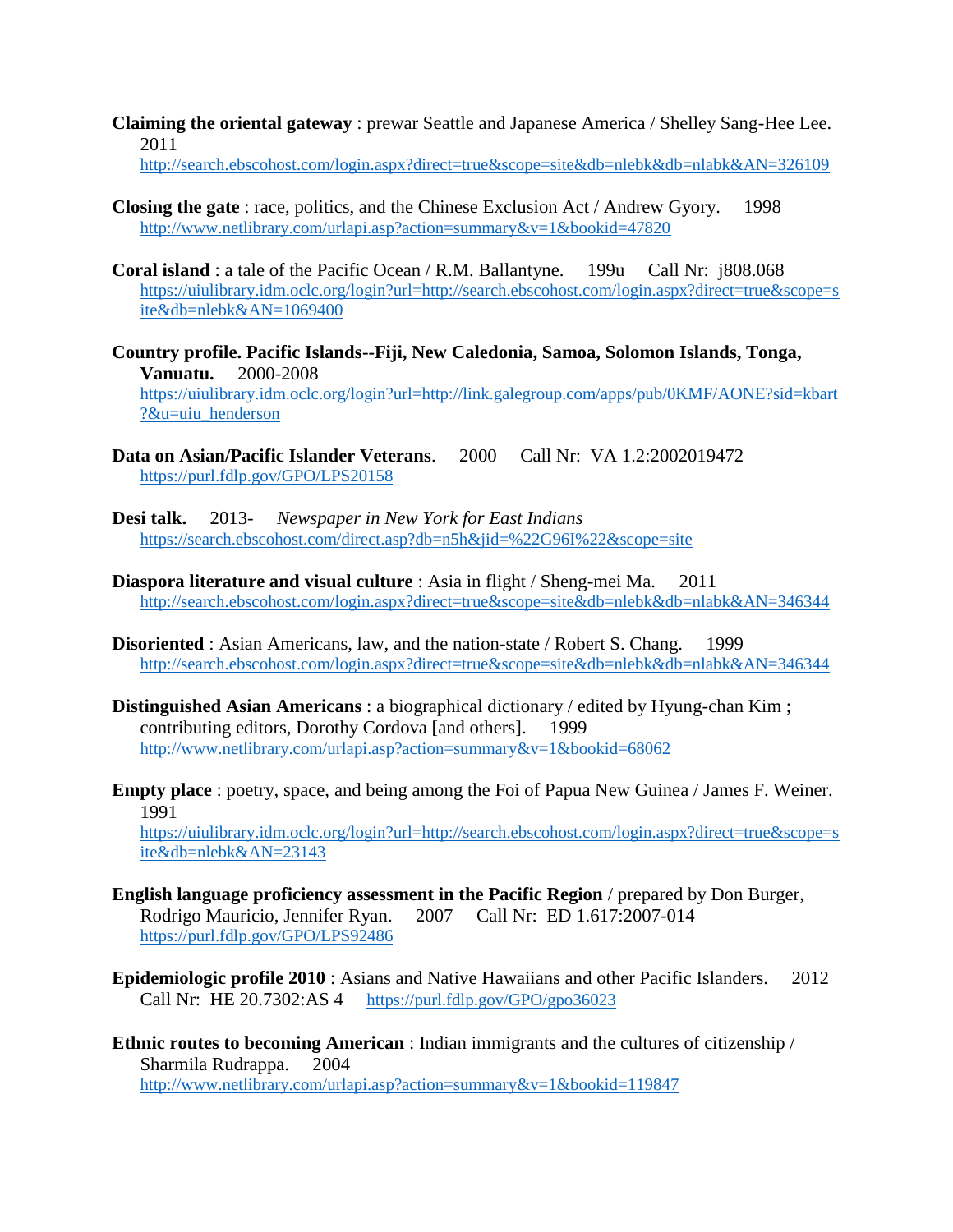**Claiming the oriental gateway** : prewar Seattle and Japanese America / Shelley Sang-Hee Lee. 2011

<http://search.ebscohost.com/login.aspx?direct=true&scope=site&db=nlebk&db=nlabk&AN=326109>

- **Closing the gate**: race, politics, and the Chinese Exclusion Act / Andrew Gyory. 1998 <http://www.netlibrary.com/urlapi.asp?action=summary&v=1&bookid=47820>
- **Coral island**: a tale of the Pacific Ocean / R.M. Ballantyne. 199u Call Nr: j808.068 [https://uiulibrary.idm.oclc.org/login?url=http://search.ebscohost.com/login.aspx?direct=true&scope=s](https://uiulibrary.idm.oclc.org/login?url=http://search.ebscohost.com/login.aspx?direct=true&scope=site&db=nlebk&AN=1069400) [ite&db=nlebk&AN=1069400](https://uiulibrary.idm.oclc.org/login?url=http://search.ebscohost.com/login.aspx?direct=true&scope=site&db=nlebk&AN=1069400)
- **Country profile. Pacific Islands--Fiji, New Caledonia, Samoa, Solomon Islands, Tonga, Vanuatu.** 2000-2008 [https://uiulibrary.idm.oclc.org/login?url=http://link.galegroup.com/apps/pub/0KMF/AONE?sid=kbart](https://uiulibrary.idm.oclc.org/login?url=http://link.galegroup.com/apps/pub/0KMF/AONE?sid=kbart?&u=uiu_henderson) [?&u=uiu\\_henderson](https://uiulibrary.idm.oclc.org/login?url=http://link.galegroup.com/apps/pub/0KMF/AONE?sid=kbart?&u=uiu_henderson)
- **Data on Asian/Pacific Islander Veterans**. 2000 Call Nr: VA 1.2:2002019472 <https://purl.fdlp.gov/GPO/LPS20158>
- **Desi talk.** 2013- *Newspaper in New York for East Indians* <https://search.ebscohost.com/direct.asp?db=n5h&jid=%22G96I%22&scope=site>
- **Diaspora literature and visual culture** : Asia in flight / Sheng-mei Ma. 2011 <http://search.ebscohost.com/login.aspx?direct=true&scope=site&db=nlebk&db=nlabk&AN=346344>
- **Disoriented** : Asian Americans, law, and the nation-state / Robert S. Chang. 1999 <http://search.ebscohost.com/login.aspx?direct=true&scope=site&db=nlebk&db=nlabk&AN=346344>
- **Distinguished Asian Americans** : a biographical dictionary / edited by Hyung-chan Kim ; contributing editors, Dorothy Cordova [and others]. 1999 <http://www.netlibrary.com/urlapi.asp?action=summary&v=1&bookid=68062>
- **Empty place** : poetry, space, and being among the Foi of Papua New Guinea / James F. Weiner. 1991

[https://uiulibrary.idm.oclc.org/login?url=http://search.ebscohost.com/login.aspx?direct=true&scope=s](https://uiulibrary.idm.oclc.org/login?url=http://search.ebscohost.com/login.aspx?direct=true&scope=site&db=nlebk&AN=23143) [ite&db=nlebk&AN=23143](https://uiulibrary.idm.oclc.org/login?url=http://search.ebscohost.com/login.aspx?direct=true&scope=site&db=nlebk&AN=23143)

- **English language proficiency assessment in the Pacific Region** / prepared by Don Burger, Rodrigo Mauricio, Jennifer Ryan. 2007 Call Nr: ED 1.617:2007-014 <https://purl.fdlp.gov/GPO/LPS92486>
- **Epidemiologic profile 2010** : Asians and Native Hawaiians and other Pacific Islanders. 2012 Call Nr: HE 20.7302:AS 4 <https://purl.fdlp.gov/GPO/gpo36023>
- **Ethnic routes to becoming American** : Indian immigrants and the cultures of citizenship / Sharmila Rudrappa. 2004 <http://www.netlibrary.com/urlapi.asp?action=summary&v=1&bookid=119847>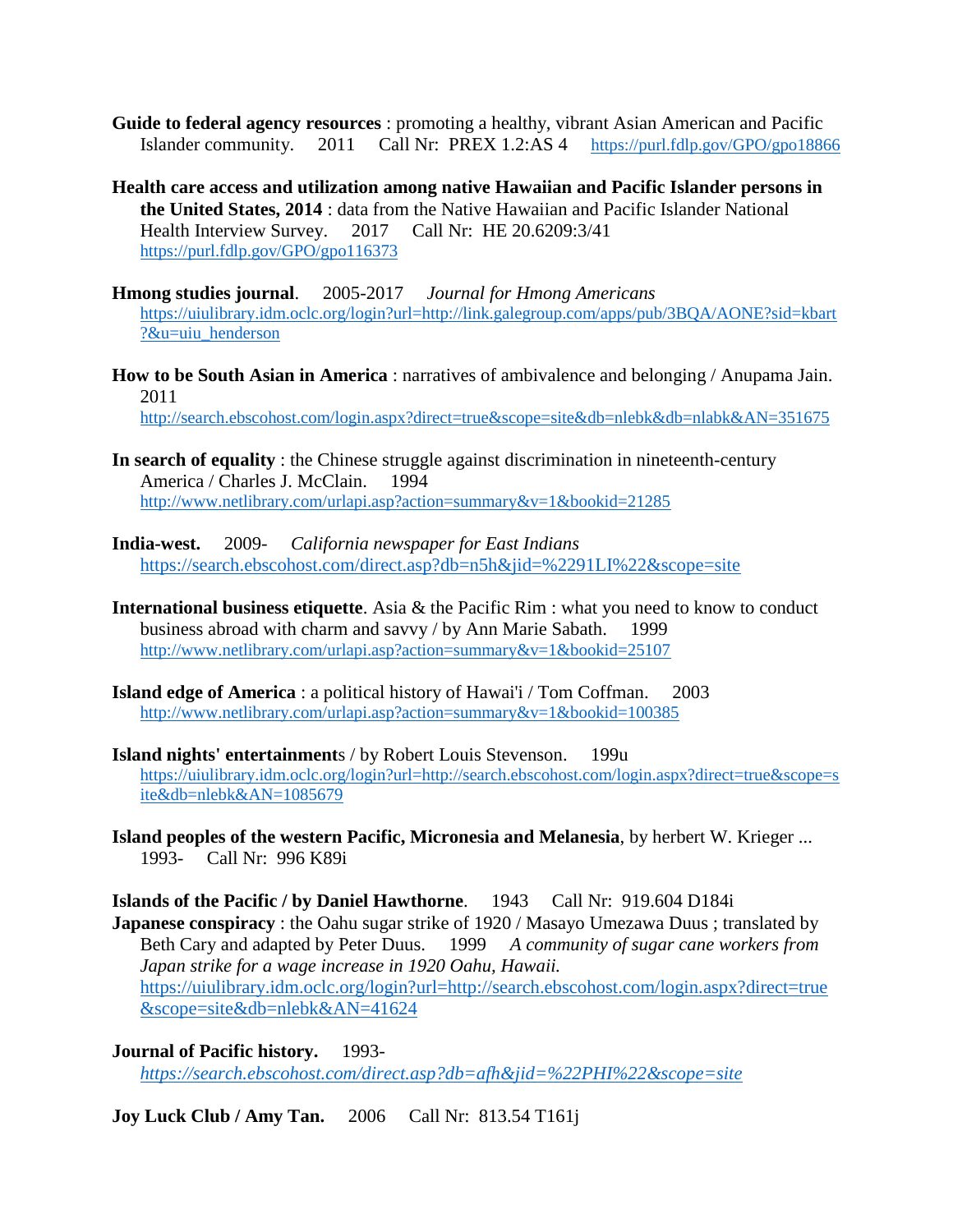- **Guide to federal agency resources** : promoting a healthy, vibrant Asian American and Pacific Islander community. 2011 Call Nr: PREX 1.2:AS 4 <https://purl.fdlp.gov/GPO/gpo18866>
- **Health care access and utilization among native Hawaiian and Pacific Islander persons in the United States, 2014** : data from the Native Hawaiian and Pacific Islander National Health Interview Survey. 2017 Call Nr: HE 20.6209:3/41 <https://purl.fdlp.gov/GPO/gpo116373>
- **Hmong studies journal**. 2005-2017 *Journal for Hmong Americans* [https://uiulibrary.idm.oclc.org/login?url=http://link.galegroup.com/apps/pub/3BQA/AONE?sid=kbart](https://uiulibrary.idm.oclc.org/login?url=http://link.galegroup.com/apps/pub/3BQA/AONE?sid=kbart?&u=uiu_henderson) [?&u=uiu\\_henderson](https://uiulibrary.idm.oclc.org/login?url=http://link.galegroup.com/apps/pub/3BQA/AONE?sid=kbart?&u=uiu_henderson)
- **How to be South Asian in America** : narratives of ambivalence and belonging / Anupama Jain. 2011 <http://search.ebscohost.com/login.aspx?direct=true&scope=site&db=nlebk&db=nlabk&AN=351675>
- **In search of equality** : the Chinese struggle against discrimination in nineteenth-century America / Charles J. McClain. 1994 <http://www.netlibrary.com/urlapi.asp?action=summary&v=1&bookid=21285>
- **India-west.** 2009- *California newspaper for East Indians* <https://search.ebscohost.com/direct.asp?db=n5h&jid=%2291LI%22&scope=site>
- **International business etiquette**. Asia & the Pacific Rim : what you need to know to conduct business abroad with charm and savvy / by Ann Marie Sabath. 1999 <http://www.netlibrary.com/urlapi.asp?action=summary&v=1&bookid=25107>
- **Island edge of America** : a political history of Hawai'i / Tom Coffman. 2003 <http://www.netlibrary.com/urlapi.asp?action=summary&v=1&bookid=100385>
- **Island nights' entertainment**s / by Robert Louis Stevenson. 199u [https://uiulibrary.idm.oclc.org/login?url=http://search.ebscohost.com/login.aspx?direct=true&scope=s](https://uiulibrary.idm.oclc.org/login?url=http://search.ebscohost.com/login.aspx?direct=true&scope=site&db=nlebk&AN=1085679) [ite&db=nlebk&AN=1085679](https://uiulibrary.idm.oclc.org/login?url=http://search.ebscohost.com/login.aspx?direct=true&scope=site&db=nlebk&AN=1085679)
- **Island peoples of the western Pacific, Micronesia and Melanesia**, by herbert W. Krieger ... 1993- Call Nr: 996 K89i

**Islands of the Pacific / by Daniel Hawthorne**. 1943 Call Nr: 919.604 D184i **Japanese conspiracy** : the Oahu sugar strike of 1920 / Masayo Umezawa Duus ; translated by Beth Cary and adapted by Peter Duus. 1999 *A community of sugar cane workers from Japan strike for a wage increase in 1920 Oahu, Hawaii.* [https://uiulibrary.idm.oclc.org/login?url=http://search.ebscohost.com/login.aspx?direct=true](https://uiulibrary.idm.oclc.org/login?url=http://search.ebscohost.com/login.aspx?direct=true&scope=site&db=nlebk&AN=41624) [&scope=site&db=nlebk&AN=41624](https://uiulibrary.idm.oclc.org/login?url=http://search.ebscohost.com/login.aspx?direct=true&scope=site&db=nlebk&AN=41624) 

**Journal of Pacific history.** 1993 *<https://search.ebscohost.com/direct.asp?db=afh&jid=%22PHI%22&scope=site>*

**Joy Luck Club / Amy Tan.** 2006 Call Nr: 813.54 T161j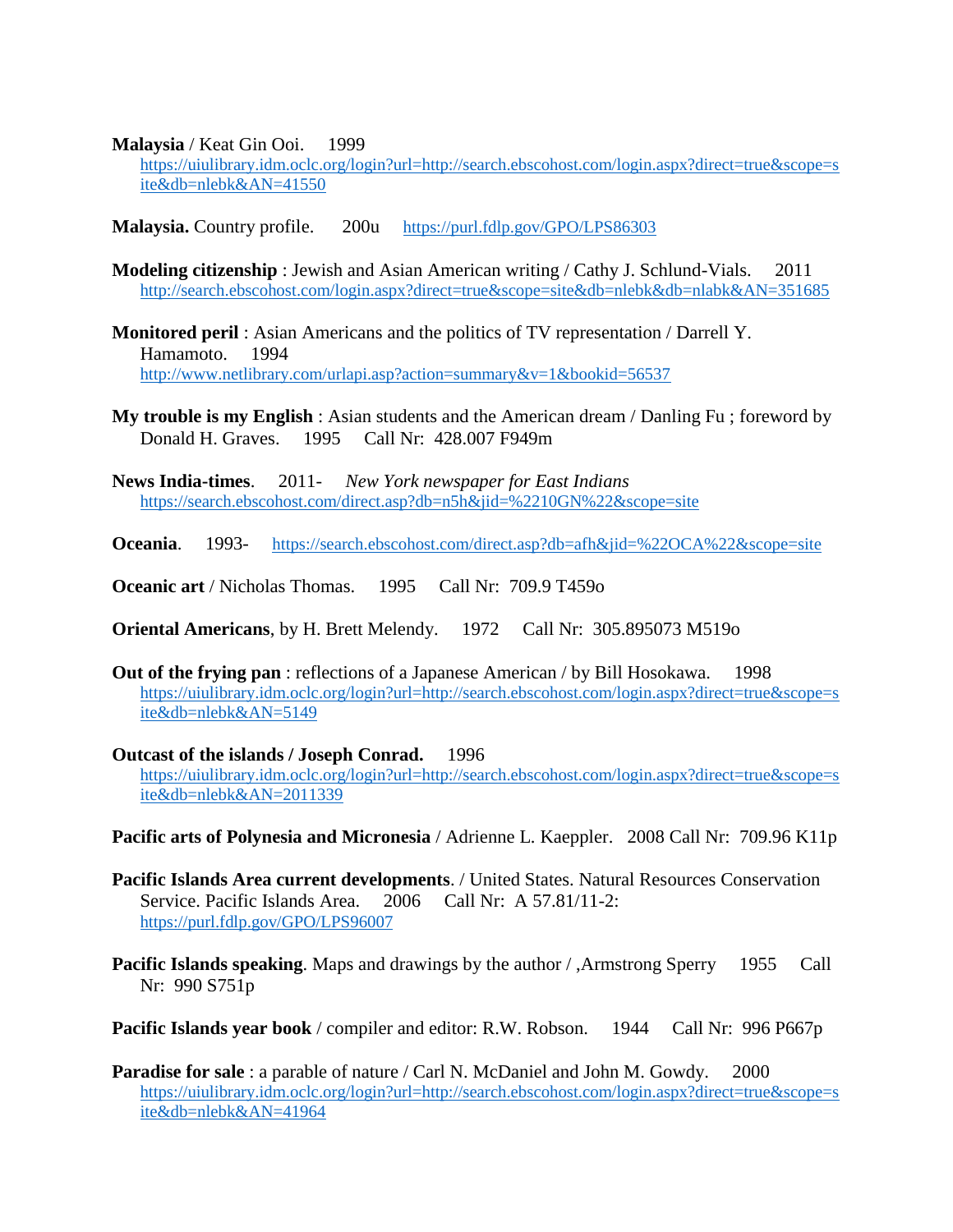**Malaysia** / Keat Gin Ooi. 1999

[https://uiulibrary.idm.oclc.org/login?url=http://search.ebscohost.com/login.aspx?direct=true&scope=s](https://uiulibrary.idm.oclc.org/login?url=http://search.ebscohost.com/login.aspx?direct=true&scope=site&db=nlebk&AN=41550) [ite&db=nlebk&AN=41550](https://uiulibrary.idm.oclc.org/login?url=http://search.ebscohost.com/login.aspx?direct=true&scope=site&db=nlebk&AN=41550)

**Malaysia.** Country profile. 200u <https://purl.fdlp.gov/GPO/LPS86303>

- **Modeling citizenship** : Jewish and Asian American writing / Cathy J. Schlund-Vials. 2011 <http://search.ebscohost.com/login.aspx?direct=true&scope=site&db=nlebk&db=nlabk&AN=351685>
- **Monitored peril** : Asian Americans and the politics of TV representation / Darrell Y. Hamamoto. 1994 <http://www.netlibrary.com/urlapi.asp?action=summary&v=1&bookid=56537>
- **My trouble is my English** : Asian students and the American dream / Danling Fu ; foreword by Donald H. Graves. 1995 Call Nr: 428.007 F949m
- **News India-times**. 2011- *New York newspaper for East Indians* <https://search.ebscohost.com/direct.asp?db=n5h&jid=%2210GN%22&scope=site>
- **Oceania.** 1993- <https://search.ebscohost.com/direct.asp?db=afh&jid=%22OCA%22&scope=site>
- **Oceanic art** / Nicholas Thomas. 1995 Call Nr: 709.9 T459o
- **Oriental Americans**, by H. Brett Melendy. 1972 Call Nr: 305.895073 M519o
- **Out of the frying pan** : reflections of a Japanese American / by Bill Hosokawa. 1998 [https://uiulibrary.idm.oclc.org/login?url=http://search.ebscohost.com/login.aspx?direct=true&scope=s](https://uiulibrary.idm.oclc.org/login?url=http://search.ebscohost.com/login.aspx?direct=true&scope=site&db=nlebk&AN=5149) [ite&db=nlebk&AN=5149](https://uiulibrary.idm.oclc.org/login?url=http://search.ebscohost.com/login.aspx?direct=true&scope=site&db=nlebk&AN=5149)
- **Outcast of the islands / Joseph Conrad.** 1996 [https://uiulibrary.idm.oclc.org/login?url=http://search.ebscohost.com/login.aspx?direct=true&scope=s](https://uiulibrary.idm.oclc.org/login?url=http://search.ebscohost.com/login.aspx?direct=true&scope=site&db=nlebk&AN=2011339) [ite&db=nlebk&AN=2011339](https://uiulibrary.idm.oclc.org/login?url=http://search.ebscohost.com/login.aspx?direct=true&scope=site&db=nlebk&AN=2011339)
- **Pacific arts of Polynesia and Micronesia** / Adrienne L. Kaeppler. 2008 Call Nr: 709.96 K11p
- **Pacific Islands Area current developments**. / United States. Natural Resources Conservation Service. Pacific Islands Area. 2006 Call Nr: A 57.81/11-2: <https://purl.fdlp.gov/GPO/LPS96007>
- **Pacific Islands speaking.** Maps and drawings by the author / ,Armstrong Sperry 1955 Call Nr: 990 S751p
- **Pacific Islands year book** / compiler and editor: R.W. Robson. 1944 Call Nr: 996 P667p
- **Paradise for sale** : a parable of nature / Carl N. McDaniel and John M. Gowdy. 2000 [https://uiulibrary.idm.oclc.org/login?url=http://search.ebscohost.com/login.aspx?direct=true&scope=s](https://uiulibrary.idm.oclc.org/login?url=http://search.ebscohost.com/login.aspx?direct=true&scope=site&db=nlebk&AN=41964) [ite&db=nlebk&AN=41964](https://uiulibrary.idm.oclc.org/login?url=http://search.ebscohost.com/login.aspx?direct=true&scope=site&db=nlebk&AN=41964)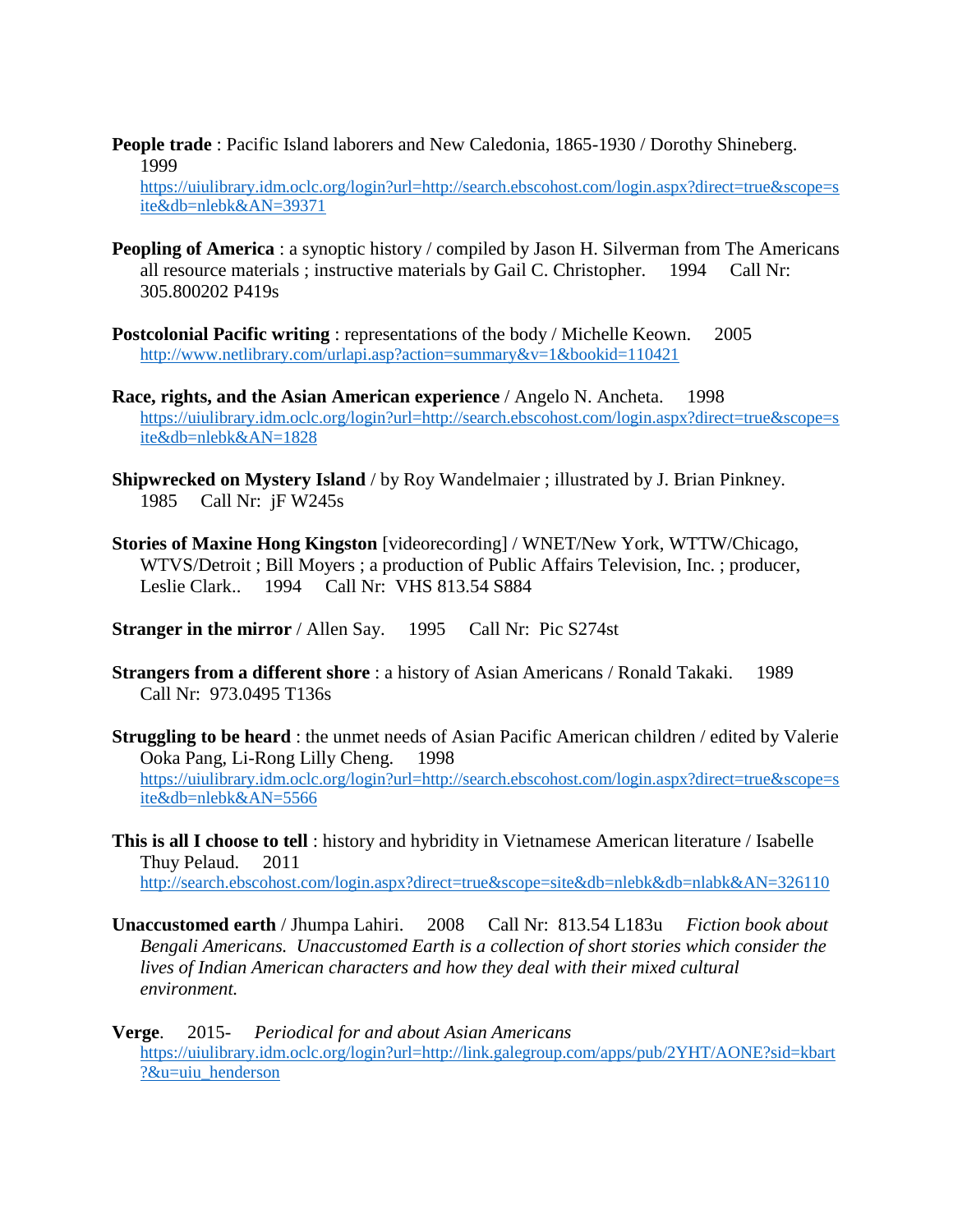**People trade** : Pacific Island laborers and New Caledonia, 1865-1930 / Dorothy Shineberg. 1999

[https://uiulibrary.idm.oclc.org/login?url=http://search.ebscohost.com/login.aspx?direct=true&scope=s](https://uiulibrary.idm.oclc.org/login?url=http://search.ebscohost.com/login.aspx?direct=true&scope=site&db=nlebk&AN=39371) [ite&db=nlebk&AN=39371](https://uiulibrary.idm.oclc.org/login?url=http://search.ebscohost.com/login.aspx?direct=true&scope=site&db=nlebk&AN=39371)

- **Peopling of America**: a synoptic history / compiled by Jason H. Silverman from The Americans all resource materials ; instructive materials by Gail C. Christopher. 1994 Call Nr: 305.800202 P419s
- **Postcolonial Pacific writing** : representations of the body / Michelle Keown. 2005 <http://www.netlibrary.com/urlapi.asp?action=summary&v=1&bookid=110421>
- **Race, rights, and the Asian American experience** / Angelo N. Ancheta. 1998 [https://uiulibrary.idm.oclc.org/login?url=http://search.ebscohost.com/login.aspx?direct=true&scope=s](https://uiulibrary.idm.oclc.org/login?url=http://search.ebscohost.com/login.aspx?direct=true&scope=site&db=nlebk&AN=1828) [ite&db=nlebk&AN=1828](https://uiulibrary.idm.oclc.org/login?url=http://search.ebscohost.com/login.aspx?direct=true&scope=site&db=nlebk&AN=1828)
- **Shipwrecked on Mystery Island** / by Roy Wandelmaier ; illustrated by J. Brian Pinkney. 1985 Call Nr: jF W245s
- **Stories of Maxine Hong Kingston** [videorecording] / WNET/New York, WTTW/Chicago, WTVS/Detroit ; Bill Moyers ; a production of Public Affairs Television, Inc. ; producer, Leslie Clark.. 1994 Call Nr: VHS 813.54 S884
- **Stranger in the mirror** / Allen Say. 1995 Call Nr: Pic S274st
- **Strangers from a different shore** : a history of Asian Americans / Ronald Takaki. 1989 Call Nr: 973.0495 T136s
- **Struggling to be heard** : the unmet needs of Asian Pacific American children / edited by Valerie Ooka Pang, Li-Rong Lilly Cheng. 1998 [https://uiulibrary.idm.oclc.org/login?url=http://search.ebscohost.com/login.aspx?direct=true&scope=s](https://uiulibrary.idm.oclc.org/login?url=http://search.ebscohost.com/login.aspx?direct=true&scope=site&db=nlebk&AN=5566) [ite&db=nlebk&AN=5566](https://uiulibrary.idm.oclc.org/login?url=http://search.ebscohost.com/login.aspx?direct=true&scope=site&db=nlebk&AN=5566)
- **This is all I choose to tell** : history and hybridity in Vietnamese American literature / Isabelle Thuy Pelaud. 2011 <http://search.ebscohost.com/login.aspx?direct=true&scope=site&db=nlebk&db=nlabk&AN=326110>
- **Unaccustomed earth** / Jhumpa Lahiri. 2008 Call Nr: 813.54 L183u *Fiction book about Bengali Americans. Unaccustomed Earth is a collection of short stories which consider the lives of Indian American characters and how they deal with their mixed cultural environment.*
- **Verge**. 2015- *Periodical for and about Asian Americans* [https://uiulibrary.idm.oclc.org/login?url=http://link.galegroup.com/apps/pub/2YHT/AONE?sid=kbart](https://uiulibrary.idm.oclc.org/login?url=http://link.galegroup.com/apps/pub/2YHT/AONE?sid=kbart?&u=uiu_henderson) [?&u=uiu\\_henderson](https://uiulibrary.idm.oclc.org/login?url=http://link.galegroup.com/apps/pub/2YHT/AONE?sid=kbart?&u=uiu_henderson)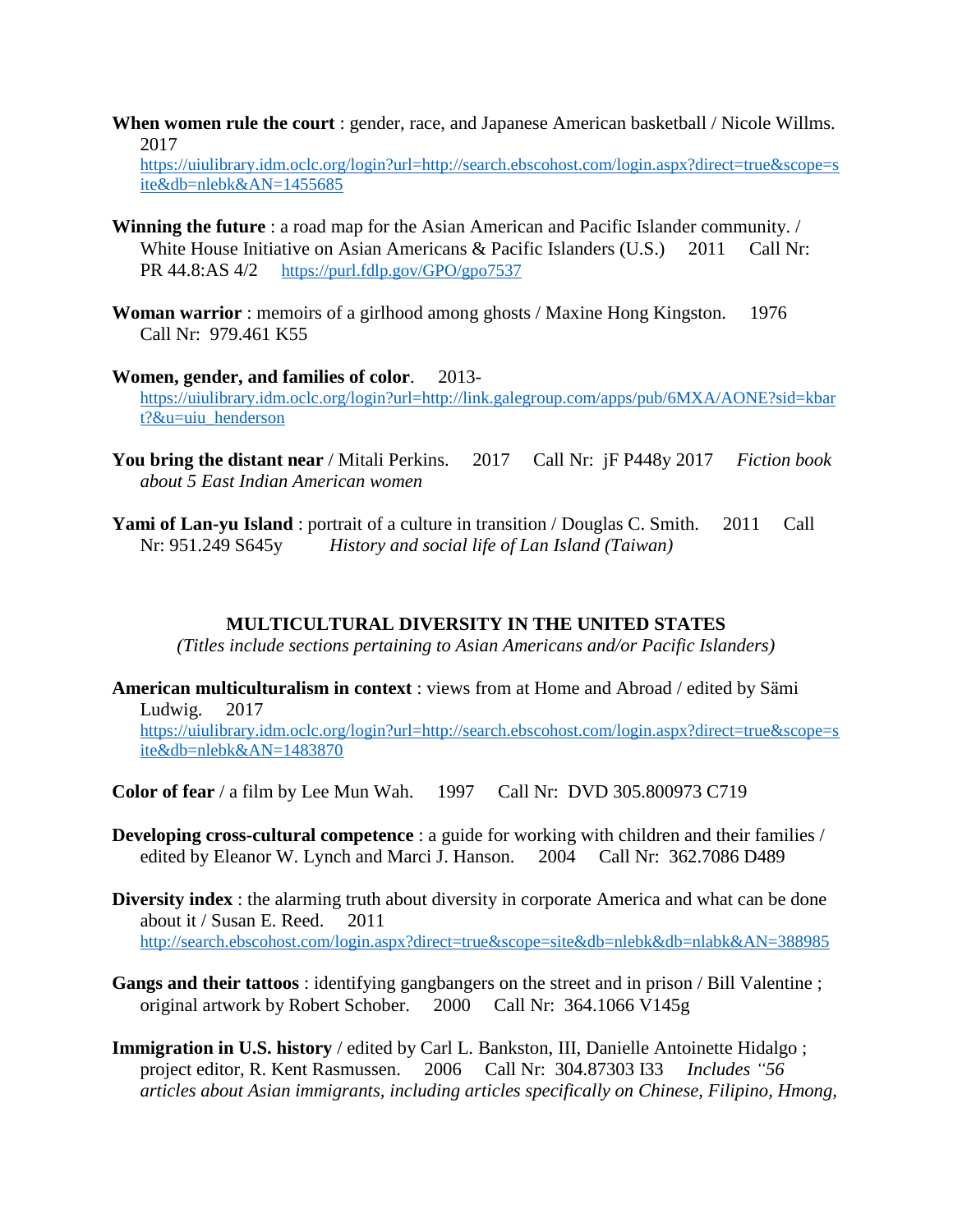**When women rule the court** : gender, race, and Japanese American basketball / Nicole Willms. 2017

[https://uiulibrary.idm.oclc.org/login?url=http://search.ebscohost.com/login.aspx?direct=true&scope=s](https://uiulibrary.idm.oclc.org/login?url=http://search.ebscohost.com/login.aspx?direct=true&scope=site&db=nlebk&AN=1455685) [ite&db=nlebk&AN=1455685](https://uiulibrary.idm.oclc.org/login?url=http://search.ebscohost.com/login.aspx?direct=true&scope=site&db=nlebk&AN=1455685)

- **Winning the future** : a road map for the Asian American and Pacific Islander community. / White House Initiative on Asian Americans & Pacific Islanders (U.S.) 2011 Call Nr: PR 44.8:AS 4/2 <https://purl.fdlp.gov/GPO/gpo7537>
- **Woman warrior**: memoirs of a girlhood among ghosts / Maxine Hong Kingston. 1976 Call Nr: 979.461 K55
- **Women, gender, and families of color**. 2013 [https://uiulibrary.idm.oclc.org/login?url=http://link.galegroup.com/apps/pub/6MXA/AONE?sid=kbar](https://uiulibrary.idm.oclc.org/login?url=http://link.galegroup.com/apps/pub/6MXA/AONE?sid=kbart?&u=uiu_henderson) [t?&u=uiu\\_henderson](https://uiulibrary.idm.oclc.org/login?url=http://link.galegroup.com/apps/pub/6MXA/AONE?sid=kbart?&u=uiu_henderson)
- **You bring the distant near** / Mitali Perkins. 2017 Call Nr: jF P448y 2017 *Fiction book about 5 East Indian American women*
- **Yami of Lan-yu Island**: portrait of a culture in transition / Douglas C. Smith. 2011 Call Nr: 951.249 S645y *History and social life of Lan Island (Taiwan)*

#### **MULTICULTURAL DIVERSITY IN THE UNITED STATES**

*(Titles include sections pertaining to Asian Americans and/or Pacific Islanders)*

- **American multiculturalism in context** : views from at Home and Abroad / edited by Sämi Ludwig. 2017 [https://uiulibrary.idm.oclc.org/login?url=http://search.ebscohost.com/login.aspx?direct=true&scope=s](https://uiulibrary.idm.oclc.org/login?url=http://search.ebscohost.com/login.aspx?direct=true&scope=site&db=nlebk&AN=1483870) [ite&db=nlebk&AN=1483870](https://uiulibrary.idm.oclc.org/login?url=http://search.ebscohost.com/login.aspx?direct=true&scope=site&db=nlebk&AN=1483870)
- **Color of fear** / a film by Lee Mun Wah. 1997 Call Nr: DVD 305.800973 C719
- **Developing cross-cultural competence** : a guide for working with children and their families / edited by Eleanor W. Lynch and Marci J. Hanson. 2004 Call Nr: 362.7086 D489
- **Diversity index** : the alarming truth about diversity in corporate America and what can be done about it / Susan E. Reed. 2011 <http://search.ebscohost.com/login.aspx?direct=true&scope=site&db=nlebk&db=nlabk&AN=388985>
- **Gangs and their tattoos** : identifying gangbangers on the street and in prison / Bill Valentine ; original artwork by Robert Schober. 2000 Call Nr: 364.1066 V145g
- **Immigration in U.S. history** / edited by Carl L. Bankston, III, Danielle Antoinette Hidalgo ; project editor, R. Kent Rasmussen. 2006 Call Nr: 304.87303 I33 *Includes "56 articles about Asian immigrants, including articles specifically on Chinese, Filipino, Hmong,*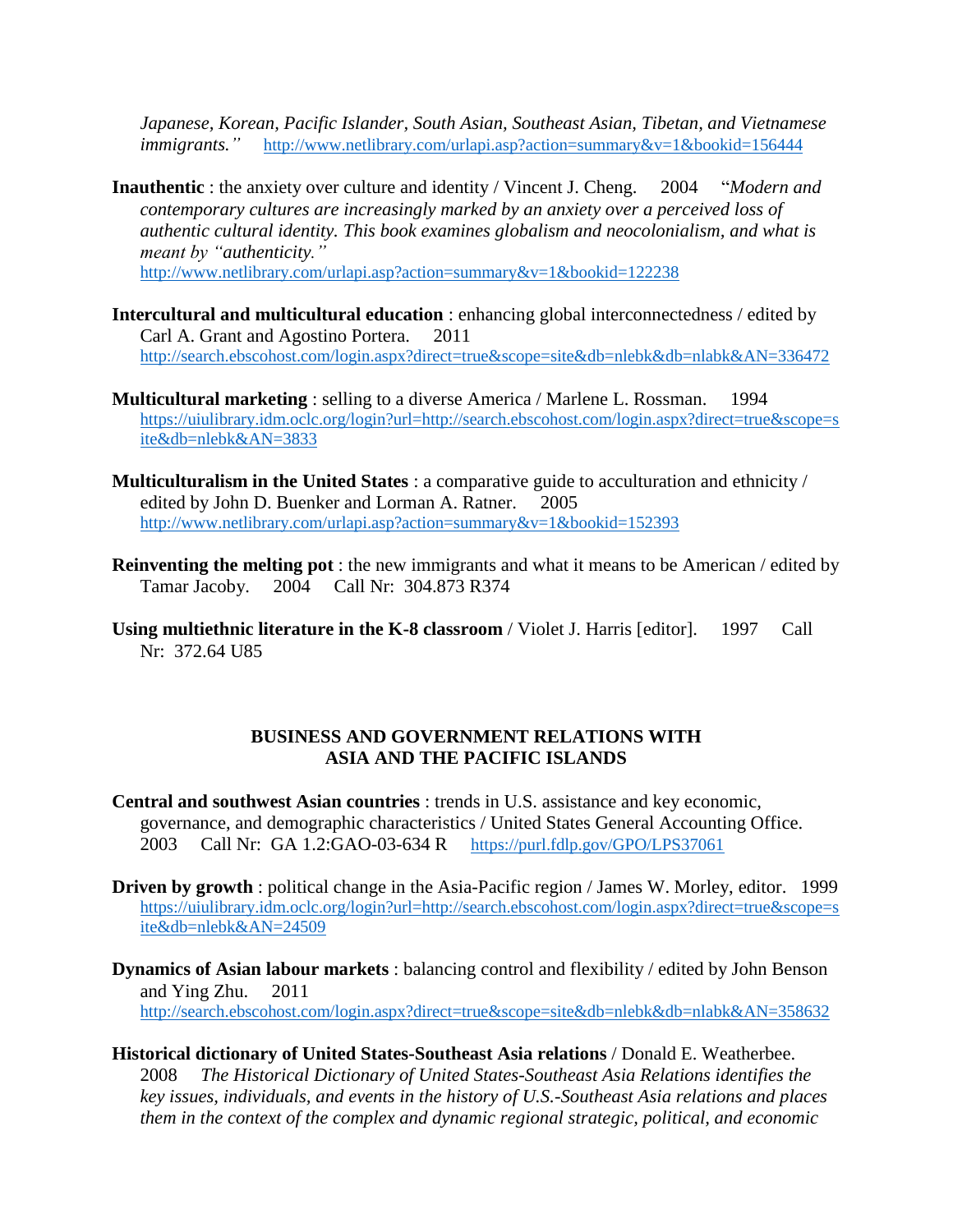*Japanese, Korean, Pacific Islander, South Asian, Southeast Asian, Tibetan, and Vietnamese immigrants."* <http://www.netlibrary.com/urlapi.asp?action=summary&v=1&bookid=156444>

**Inauthentic** : the anxiety over culture and identity / Vincent J. Cheng. 2004 "*Modern and contemporary cultures are increasingly marked by an anxiety over a perceived loss of authentic cultural identity. This book examines globalism and neocolonialism, and what is meant by "authenticity."* 

<http://www.netlibrary.com/urlapi.asp?action=summary&v=1&bookid=122238>

- **Intercultural and multicultural education** : enhancing global interconnectedness / edited by Carl A. Grant and Agostino Portera. 2011 <http://search.ebscohost.com/login.aspx?direct=true&scope=site&db=nlebk&db=nlabk&AN=336472>
- **Multicultural marketing** : selling to a diverse America / Marlene L. Rossman. 1994 [https://uiulibrary.idm.oclc.org/login?url=http://search.ebscohost.com/login.aspx?direct=true&scope=s](https://uiulibrary.idm.oclc.org/login?url=http://search.ebscohost.com/login.aspx?direct=true&scope=site&db=nlebk&AN=3833) [ite&db=nlebk&AN=3833](https://uiulibrary.idm.oclc.org/login?url=http://search.ebscohost.com/login.aspx?direct=true&scope=site&db=nlebk&AN=3833)
- **Multiculturalism in the United States** : a comparative guide to acculturation and ethnicity / edited by John D. Buenker and Lorman A. Ratner. 2005 <http://www.netlibrary.com/urlapi.asp?action=summary&v=1&bookid=152393>
- **Reinventing the melting pot** : the new immigrants and what it means to be American / edited by Tamar Jacoby. 2004 Call Nr: 304.873 R374
- **Using multiethnic literature in the K-8 classroom** / Violet J. Harris [editor]. 1997 Call Nr: 372.64 U85

### **BUSINESS AND GOVERNMENT RELATIONS WITH ASIA AND THE PACIFIC ISLANDS**

- **Central and southwest Asian countries** : trends in U.S. assistance and key economic, governance, and demographic characteristics / United States General Accounting Office. 2003 Call Nr: GA 1.2:GAO-03-634 R <https://purl.fdlp.gov/GPO/LPS37061>
- **Driven by growth** : political change in the Asia-Pacific region / James W. Morley, editor. 1999 [https://uiulibrary.idm.oclc.org/login?url=http://search.ebscohost.com/login.aspx?direct=true&scope=s](https://uiulibrary.idm.oclc.org/login?url=http://search.ebscohost.com/login.aspx?direct=true&scope=site&db=nlebk&AN=24509) [ite&db=nlebk&AN=24509](https://uiulibrary.idm.oclc.org/login?url=http://search.ebscohost.com/login.aspx?direct=true&scope=site&db=nlebk&AN=24509)
- **Dynamics of Asian labour markets** : balancing control and flexibility / edited by John Benson and Ying Zhu. 2011 <http://search.ebscohost.com/login.aspx?direct=true&scope=site&db=nlebk&db=nlabk&AN=358632>
- **Historical dictionary of United States-Southeast Asia relations** / Donald E. Weatherbee. 2008 *The Historical Dictionary of United States-Southeast Asia Relations identifies the key issues, individuals, and events in the history of U.S.-Southeast Asia relations and places them in the context of the complex and dynamic regional strategic, political, and economic*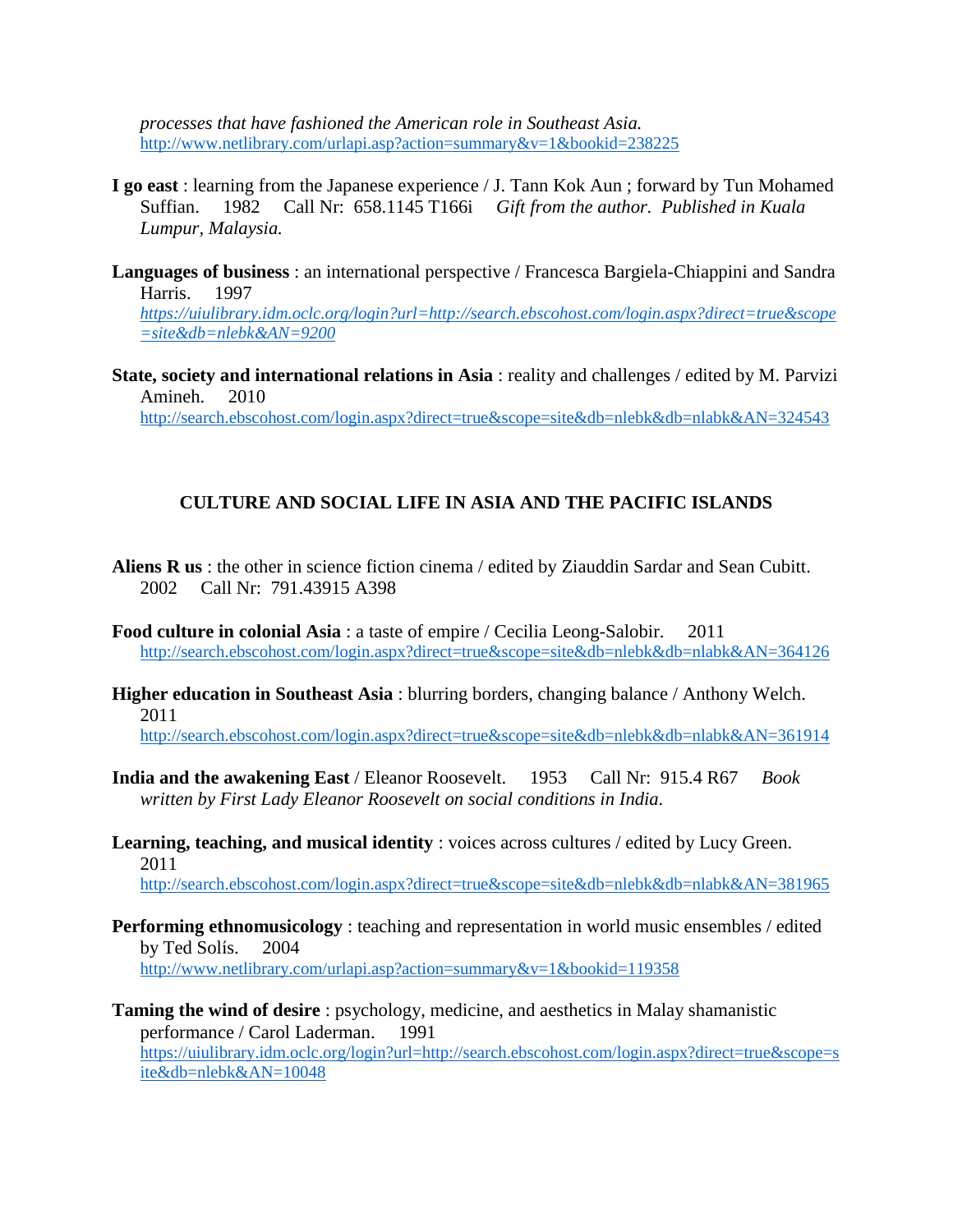*processes that have fashioned the American role in Southeast Asia.* <http://www.netlibrary.com/urlapi.asp?action=summary&v=1&bookid=238225>

- **I go east** : learning from the Japanese experience / J. Tann Kok Aun ; forward by Tun Mohamed Suffian. 1982 Call Nr: 658.1145 T166i *Gift from the author. Published in Kuala Lumpur, Malaysia.*
- **Languages of business** : an international perspective / Francesca Bargiela-Chiappini and Sandra Harris. 1997 *[https://uiulibrary.idm.oclc.org/login?url=http://search.ebscohost.com/login.aspx?direct=true&scope](https://uiulibrary.idm.oclc.org/login?url=http://search.ebscohost.com/login.aspx?direct=true&scope=site&db=nlebk&AN=9200) [=site&db=nlebk&AN=9200](https://uiulibrary.idm.oclc.org/login?url=http://search.ebscohost.com/login.aspx?direct=true&scope=site&db=nlebk&AN=9200)*
- **State, society and international relations in Asia** : reality and challenges / edited by M. Parvizi Amineh. 2010 <http://search.ebscohost.com/login.aspx?direct=true&scope=site&db=nlebk&db=nlabk&AN=324543>

#### **CULTURE AND SOCIAL LIFE IN ASIA AND THE PACIFIC ISLANDS**

- **Aliens R us** : the other in science fiction cinema / edited by Ziauddin Sardar and Sean Cubitt. 2002 Call Nr: 791.43915 A398
- **Food culture in colonial Asia** : a taste of empire / Cecilia Leong-Salobir. 2011 <http://search.ebscohost.com/login.aspx?direct=true&scope=site&db=nlebk&db=nlabk&AN=364126>
- **Higher education in Southeast Asia** : blurring borders, changing balance / Anthony Welch. 2011

<http://search.ebscohost.com/login.aspx?direct=true&scope=site&db=nlebk&db=nlabk&AN=361914>

- **India and the awakening East** / Eleanor Roosevelt. 1953 Call Nr: 915.4 R67 *Book written by First Lady Eleanor Roosevelt on social conditions in India.*
- **Learning, teaching, and musical identity** : voices across cultures / edited by Lucy Green. 2011 <http://search.ebscohost.com/login.aspx?direct=true&scope=site&db=nlebk&db=nlabk&AN=381965>
	-
- **Performing ethnomusicology** : teaching and representation in world music ensembles / edited by Ted Solís. 2004 <http://www.netlibrary.com/urlapi.asp?action=summary&v=1&bookid=119358>
- **Taming the wind of desire** : psychology, medicine, and aesthetics in Malay shamanistic performance / Carol Laderman. 1991 [https://uiulibrary.idm.oclc.org/login?url=http://search.ebscohost.com/login.aspx?direct=true&scope=s](https://uiulibrary.idm.oclc.org/login?url=http://search.ebscohost.com/login.aspx?direct=true&scope=site&db=nlebk&AN=10048) [ite&db=nlebk&AN=10048](https://uiulibrary.idm.oclc.org/login?url=http://search.ebscohost.com/login.aspx?direct=true&scope=site&db=nlebk&AN=10048)